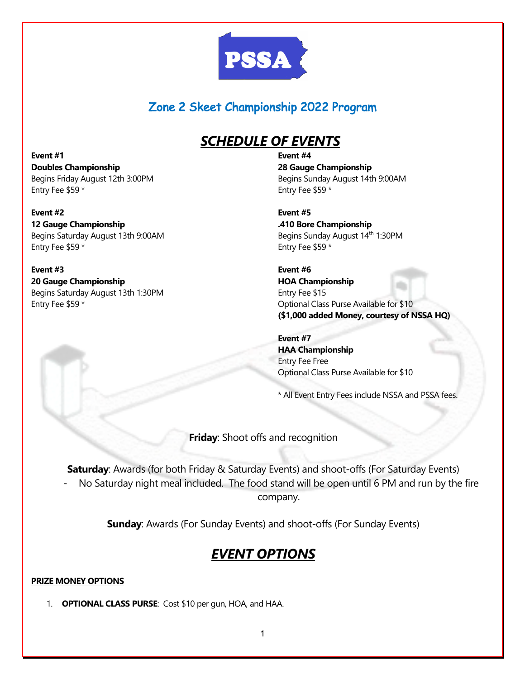

### Zone 2 Skeet Championship 2022 Program

# *SCHEDULE OF EVENTS*

**Event #1 Doubles Championship**  Begins Friday August 12th 3:00PM Entry Fee \$59 \*

**Event #2 12 Gauge Championship**  Begins Saturday August 13th 9:00AM Entry Fee \$59 \*

**Event #3 20 Gauge Championship**  Begins Saturday August 13th 1:30PM Entry Fee \$59 \*

**Event #4 28 Gauge Championship**  Begins Sunday August 14th 9:00AM Entry Fee \$59 \*

**Event #5 .410 Bore Championship**  Begins Sunday August 14<sup>th</sup> 1:30PM Entry Fee \$59 \*

**Event #6 HOA Championship**  Entry Fee \$15 Optional Class Purse Available for \$10 **(\$1,000 added Money, courtesy of NSSA HQ)** 

**Event #7 HAA Championship**  Entry Fee Free Optional Class Purse Available for \$10

\* All Event Entry Fees include NSSA and PSSA fees.

**Friday**: Shoot offs and recognition

**Saturday**: Awards (for both Friday & Saturday Events) and shoot-offs (For Saturday Events) No Saturday night meal included. The food stand will be open until 6 PM and run by the fire company.

**Sunday**: Awards (For Sunday Events) and shoot-offs (For Sunday Events)

# *EVENT OPTIONS*

### **PRIZE MONEY OPTIONS**

1. **OPTIONAL CLASS PURSE**: Cost \$10 per gun, HOA, and HAA.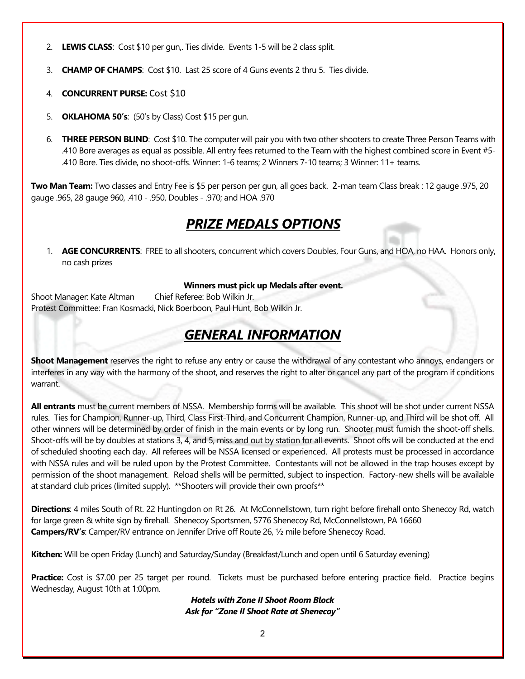- 2. **LEWIS CLASS**: Cost \$10 per gun,. Ties divide. Events 1-5 will be 2 class split.
- 3. **CHAMP OF CHAMPS**: Cost \$10. Last 25 score of 4 Guns events 2 thru 5. Ties divide.
- 4. **CONCURRENT PURSE:** Cost \$10
- 5. **OKLAHOMA 50's**: (50's by Class) Cost \$15 per gun.
- 6. **THREE PERSON BLIND**: Cost \$10. The computer will pair you with two other shooters to create Three Person Teams with .410 Bore averages as equal as possible. All entry fees returned to the Team with the highest combined score in Event #5- .410 Bore. Ties divide, no shoot-offs. Winner: 1-6 teams; 2 Winners 7-10 teams; 3 Winner: 11+ teams.

**Two Man Team:** Two classes and Entry Fee is \$5 per person per gun, all goes back. 2-man team Class break : 12 gauge .975, 20 gauge .965, 28 gauge 960, .410 - .950, Doubles - .970; and HOA .970

### *PRIZE MEDALS OPTIONS*

1. **AGE CONCURRENTS**: FREE to all shooters, concurrent which covers Doubles, Four Guns, and HOA, no HAA. Honors only, no cash prizes

#### **Winners must pick up Medals after event.**

Shoot Manager: Kate Altman Chief Referee: Bob Wilkin Jr. Protest Committee: Fran Kosmacki, Nick Boerboon, Paul Hunt, Bob Wilkin Jr.

# *GENERAL INFORMATION*

**Shoot Management** reserves the right to refuse any entry or cause the withdrawal of any contestant who annoys, endangers or interferes in any way with the harmony of the shoot, and reserves the right to alter or cancel any part of the program if conditions warrant.

**All entrants** must be current members of NSSA. Membership forms will be available. This shoot will be shot under current NSSA rules. Ties for Champion, Runner-up, Third, Class First-Third, and Concurrent Champion, Runner-up, and Third will be shot off. All other winners will be determined by order of finish in the main events or by long run. Shooter must furnish the shoot-off shells. Shoot-offs will be by doubles at stations 3, 4, and 5, miss and out by station for all events. Shoot offs will be conducted at the end of scheduled shooting each day. All referees will be NSSA licensed or experienced. All protests must be processed in accordance with NSSA rules and will be ruled upon by the Protest Committee. Contestants will not be allowed in the trap houses except by permission of the shoot management. Reload shells will be permitted, subject to inspection. Factory-new shells will be available at standard club prices (limited supply). \*\*Shooters will provide their own proofs\*\*

**Directions**: 4 miles South of Rt. 22 Huntingdon on Rt 26. At McConnellstown, turn right before firehall onto Shenecoy Rd, watch for large green & white sign by firehall. Shenecoy Sportsmen, 5776 Shenecoy Rd, McConnellstown, PA 16660 **Campers/RV's**: Camper/RV entrance on Jennifer Drive off Route 26, ½ mile before Shenecoy Road.

**Kitchen:** Will be open Friday (Lunch) and Saturday/Sunday (Breakfast/Lunch and open until 6 Saturday evening)

**Practice:** Cost is \$7.00 per 25 target per round. Tickets must be purchased before entering practice field. Practice begins Wednesday, August 10th at 1:00pm.

> *Hotels with Zone II Shoot Room Block Ask for "Zone II Shoot Rate at Shenecoy"*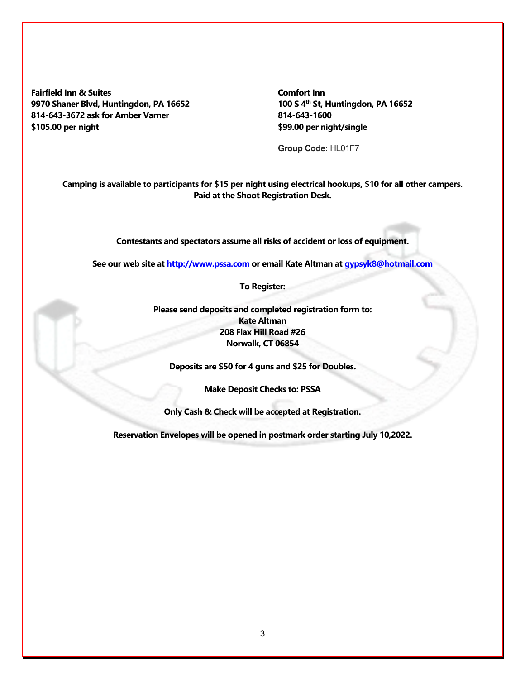**Fairfield Inn & Suites 9970 Shaner Blvd, Huntingdon, PA 16652 814-643-3672 ask for Amber Varner \$105.00 per night**

**Comfort Inn 100 S 4th St, Huntingdon, PA 16652 814-643-1600 \$99.00 per night/single**

**Group Code:** HL01F7

**Camping is available to participants for \$15 per night using electrical hookups, \$10 for all other campers. Paid at the Shoot Registration Desk.**

**Contestants and spectators assume all risks of accident or loss of equipment.**

**See our web site at http://www.pssa.com or email Kate Altman at gypsyk8@hotmail.com**

**To Register:**

**Please send deposits and completed registration form to: Kate Altman 208 Flax Hill Road #26 Norwalk, CT 06854** 

**Deposits are \$50 for 4 guns and \$25 for Doubles.** 

**Make Deposit Checks to: PSSA** 

**Only Cash & Check will be accepted at Registration.**

**Reservation Envelopes will be opened in postmark order starting July 10,2022.**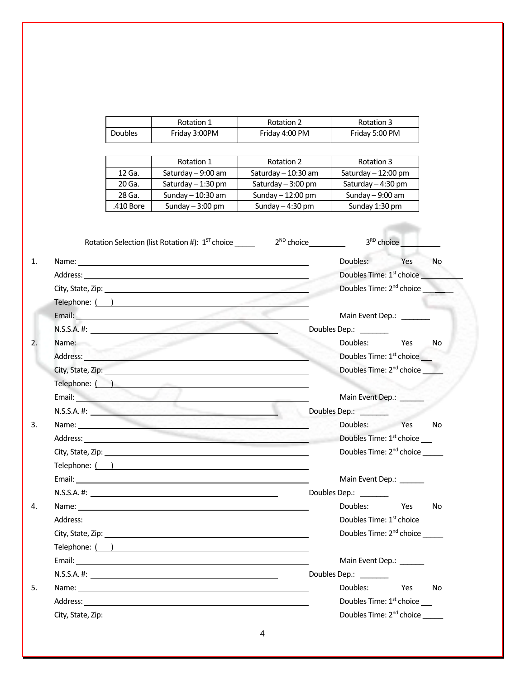|                                                                                                                                                                                                                                           |           | Rotation 1                                                                                                                                                                                                                    | Rotation 2          | Rotation 3                           |                                      |  |
|-------------------------------------------------------------------------------------------------------------------------------------------------------------------------------------------------------------------------------------------|-----------|-------------------------------------------------------------------------------------------------------------------------------------------------------------------------------------------------------------------------------|---------------------|--------------------------------------|--------------------------------------|--|
|                                                                                                                                                                                                                                           | Doubles   | Friday 3:00PM                                                                                                                                                                                                                 | Friday 4:00 PM      | Friday 5:00 PM                       |                                      |  |
|                                                                                                                                                                                                                                           |           |                                                                                                                                                                                                                               |                     |                                      |                                      |  |
|                                                                                                                                                                                                                                           |           | Rotation 1                                                                                                                                                                                                                    | Rotation 2          | Rotation 3                           |                                      |  |
|                                                                                                                                                                                                                                           | 12 Ga.    | Saturday - 9:00 am                                                                                                                                                                                                            | Saturday - 10:30 am | Saturday - 12:00 pm                  |                                      |  |
|                                                                                                                                                                                                                                           | 20 Ga.    | Saturday - 1:30 pm                                                                                                                                                                                                            | Saturday - 3:00 pm  | Saturday - 4:30 pm                   |                                      |  |
|                                                                                                                                                                                                                                           | 28 Ga.    | Sunday - 10:30 am                                                                                                                                                                                                             | Sunday $-12:00$ pm  | Sunday $-9:00$ am                    |                                      |  |
|                                                                                                                                                                                                                                           | .410 Bore | Sunday $-3:00$ pm                                                                                                                                                                                                             | Sunday $-4:30$ pm   | Sunday 1:30 pm                       |                                      |  |
|                                                                                                                                                                                                                                           |           |                                                                                                                                                                                                                               |                     |                                      |                                      |  |
|                                                                                                                                                                                                                                           |           | Rotation Selection (list Rotation #): $1^{57}$ choice 2 <sup>ND</sup> choice 2 <sup>ND</sup>                                                                                                                                  |                     |                                      | 3 <sup>RD</sup> choice               |  |
|                                                                                                                                                                                                                                           |           |                                                                                                                                                                                                                               |                     | Doubles:                             | Yes<br>No                            |  |
|                                                                                                                                                                                                                                           |           |                                                                                                                                                                                                                               |                     | Doubles Time: 1 <sup>st</sup> choice |                                      |  |
|                                                                                                                                                                                                                                           |           |                                                                                                                                                                                                                               |                     | Doubles Time: 2 <sup>nd</sup> choice |                                      |  |
|                                                                                                                                                                                                                                           |           |                                                                                                                                                                                                                               |                     |                                      |                                      |  |
|                                                                                                                                                                                                                                           |           |                                                                                                                                                                                                                               |                     | Main Event Dep.: _______             |                                      |  |
| $N.S.S.A.$ #:                                                                                                                                                                                                                             |           |                                                                                                                                                                                                                               |                     | Doubles Dep.: _______                |                                      |  |
|                                                                                                                                                                                                                                           |           | Name: Name: Name: Name: Name: Name: Name: Name: Name: Name: Name: Name: Name: Name: Name: Name: Name: Name: Name: Name: Name: Name: Name: Name: Name: Name: Name: Name: Name: Name: Name: Name: Name: Name: Name: Name: Name: |                     | Doubles:                             | Yes<br>No                            |  |
| Address: <u>Address:</u> Address: <b>Address: Address: Address: Address: Address: Address: Address: Address: Address: Address: Address: Address: Address: Address: Address: Address: Address: Address: Address: Address: Address: Add</b> |           |                                                                                                                                                                                                                               |                     | Doubles Time: 1 <sup>st</sup> choice |                                      |  |
| City, State, Zip: The City of the City of the City of the City of the City of the City of the City of the City                                                                                                                            |           |                                                                                                                                                                                                                               |                     | Doubles Time: 2 <sup>nd</sup> choice |                                      |  |
| Telephone: ( ) and a state of the state of the state of the state of the state of the state of the state of the state of the state of the state of the state of the state of the state of the state of the state of the state             |           |                                                                                                                                                                                                                               |                     |                                      |                                      |  |
| Email: <b>Example 2018</b>                                                                                                                                                                                                                |           |                                                                                                                                                                                                                               |                     | Main Event Dep.:                     |                                      |  |
| $N.S.S.A.$ #:                                                                                                                                                                                                                             |           |                                                                                                                                                                                                                               |                     | Doubles Dep.: _______                |                                      |  |
| Name: Name: Name: Name: Name: Name: Name: Name: Name: Name: Name: Name: Name: Name: Name: Name: Name: Name: Name: Name: Name: Name: Name: Name: Name: Name: Name: Name: Name: Name: Name: Name: Name: Name: Name: Name: Name:             |           |                                                                                                                                                                                                                               |                     | Doubles: Yes                         | No                                   |  |
| Address:                                                                                                                                                                                                                                  |           |                                                                                                                                                                                                                               |                     | Doubles Time: 1 <sup>st</sup> choice |                                      |  |
| City, State, Zip: 2000 City, State, 2000 City, State, 2000 City, State, 2000 City, State, 2000 City, 2000 City                                                                                                                            |           |                                                                                                                                                                                                                               |                     | Doubles Time: 2 <sup>nd</sup> choice |                                      |  |
|                                                                                                                                                                                                                                           |           | Telephone: ( )                                                                                                                                                                                                                |                     |                                      |                                      |  |
|                                                                                                                                                                                                                                           |           |                                                                                                                                                                                                                               |                     | Main Event Dep.:                     |                                      |  |
|                                                                                                                                                                                                                                           |           |                                                                                                                                                                                                                               |                     | Doubles Dep.: _______                |                                      |  |
|                                                                                                                                                                                                                                           |           |                                                                                                                                                                                                                               |                     | Doubles:                             | Yes<br>No                            |  |
|                                                                                                                                                                                                                                           |           |                                                                                                                                                                                                                               |                     | Doubles Time: $1st$ choice ____      |                                      |  |
|                                                                                                                                                                                                                                           |           |                                                                                                                                                                                                                               |                     |                                      | Doubles Time: 2 <sup>nd</sup> choice |  |
| Telephone: ( )                                                                                                                                                                                                                            |           |                                                                                                                                                                                                                               |                     |                                      |                                      |  |
|                                                                                                                                                                                                                                           |           |                                                                                                                                                                                                                               |                     | Main Event Dep.: ______              |                                      |  |
|                                                                                                                                                                                                                                           |           |                                                                                                                                                                                                                               |                     | Doubles Dep.: _______                |                                      |  |
|                                                                                                                                                                                                                                           |           |                                                                                                                                                                                                                               |                     | Doubles:                             | Yes<br>No                            |  |
| Address: <u>with the contract of the contract of the contract of the contract of the contract of the contract of the contract of the contract of the contract of the contract of the contract of the contract of the contract of</u>      |           |                                                                                                                                                                                                                               |                     | Doubles Time: $1st$ choice ____      |                                      |  |
| City, State, Zip: 2008. Experience of the City, State of the City of the City of the City of the City of the City                                                                                                                         |           |                                                                                                                                                                                                                               |                     |                                      |                                      |  |